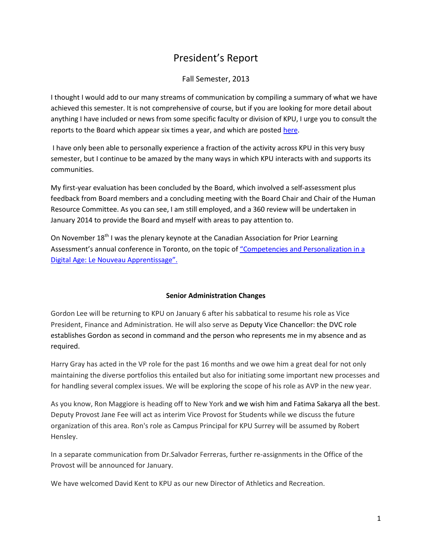## President's Report

## Fall Semester, 2013

I thought I would add to our many streams of communication by compiling a summary of what we have achieved this semester. It is not comprehensive of course, but if you are looking for more detail about anything I have included or news from some specific faculty or division of KPU, I urge you to consult the reports to the Board which appear six times a year, and which are posted [here.](http://www.kpu.ca/president/reports)

I have only been able to personally experience a fraction of the activity across KPU in this very busy semester, but I continue to be amazed by the many ways in which KPU interacts with and supports its communities.

My first-year evaluation has been concluded by the Board, which involved a self-assessment plus feedback from Board members and a concluding meeting with the Board Chair and Chair of the Human Resource Committee. As you can see, I am still employed, and a 360 review will be undertaken in January 2014 to provide the Board and myself with areas to pay attention to.

On November  $18<sup>th</sup>$  I was the plenary keynote at the Canadian Association for Prior Learning Assessment's annual conference in Toronto, on the topic of ["Competencies and](http://capla.ca/2013_fall_focus/pages/e/index.php) Personalization in a [Digital Age: Le Nouveau Apprentissage".](http://capla.ca/2013_fall_focus/pages/e/index.php)

## **Senior Administration Changes**

Gordon Lee will be returning to KPU on January 6 after his sabbatical to resume his role as Vice President, Finance and Administration. He will also serve as Deputy Vice Chancellor: the DVC role establishes Gordon as second in command and the person who represents me in my absence and as required.

Harry Gray has acted in the VP role for the past 16 months and we owe him a great deal for not only maintaining the diverse portfolios this entailed but also for initiating some important new processes and for handling several complex issues. We will be exploring the scope of his role as AVP in the new year.

As you know, Ron Maggiore is heading off to New York and we wish him and Fatima Sakarya all the best. Deputy Provost Jane Fee will act as interim Vice Provost for Students while we discuss the future organization of this area. Ron's role as Campus Principal for KPU Surrey will be assumed by Robert Hensley.

In a separate communication from Dr.Salvador Ferreras, further re-assignments in the Office of the Provost will be announced for January.

We have welcomed David Kent to KPU as our new Director of Athletics and Recreation.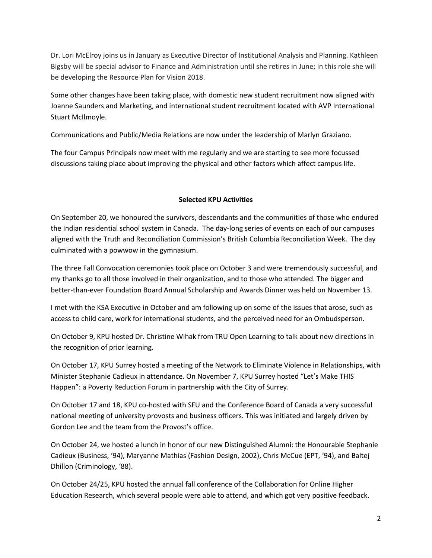Dr. Lori McElroy joins us in January as Executive Director of Institutional Analysis and Planning. Kathleen Bigsby will be special advisor to Finance and Administration until she retires in June; in this role she will be developing the Resource Plan for Vision 2018.

Some other changes have been taking place, with domestic new student recruitment now aligned with Joanne Saunders and Marketing, and international student recruitment located with AVP International Stuart McIlmoyle.

Communications and Public/Media Relations are now under the leadership of Marlyn Graziano.

The four Campus Principals now meet with me regularly and we are starting to see more focussed discussions taking place about improving the physical and other factors which affect campus life.

#### **Selected KPU Activities**

On September 20, we honoured the survivors, descendants and the communities of those who endured the Indian residential school system in Canada. The day-long series of events on each of our campuses aligned with the Truth and Reconciliation Commission's British Columbia Reconciliation Week. The day culminated with a powwow in the gymnasium.

The three Fall Convocation ceremonies took place on October 3 and were tremendously successful, and my thanks go to all those involved in their organization, and to those who attended. The bigger and better-than-ever Foundation Board Annual Scholarship and Awards Dinner was held on November 13.

I met with the KSA Executive in October and am following up on some of the issues that arose, such as access to child care, work for international students, and the perceived need for an Ombudsperson.

On October 9, KPU hosted Dr. Christine Wihak from TRU Open Learning to talk about new directions in the recognition of prior learning.

On October 17, KPU Surrey hosted a meeting of the Network to Eliminate Violence in Relationships, with Minister Stephanie Cadieux in attendance. On November 7, KPU Surrey hosted "Let's Make THIS Happen": a Poverty Reduction Forum in partnership with the City of Surrey.

On October 17 and 18, KPU co-hosted with SFU and the Conference Board of Canada a very successful national meeting of university provosts and business officers. This was initiated and largely driven by Gordon Lee and the team from the Provost's office.

On October 24, we hosted a lunch in honor of our new Distinguished Alumni: the Honourable Stephanie Cadieux (Business, '94), Maryanne Mathias (Fashion Design, 2002), Chris McCue (EPT, '94), and Baltej Dhillon (Criminology, '88).

On October 24/25, KPU hosted the annual fall conference of the Collaboration for Online Higher Education Research, which several people were able to attend, and which got very positive feedback.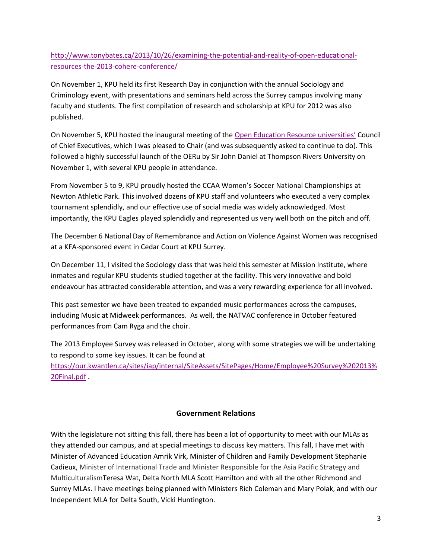[http://www.tonybates.ca/2013/10/26/examining-the-potential-and-reality-of-open-educational](http://www.tonybates.ca/2013/10/26/examining-the-potential-and-reality-of-open-educational-resources-the-2013-cohere-conference/)[resources-the-2013-cohere-conference/](http://www.tonybates.ca/2013/10/26/examining-the-potential-and-reality-of-open-educational-resources-the-2013-cohere-conference/)

On November 1, KPU held its first Research Day in conjunction with the annual Sociology and Criminology event, with presentations and seminars held across the Surrey campus involving many faculty and students. The first compilation of research and scholarship at KPU for 2012 was also published.

On November 5, KPU hosted the inaugural meeting of the [Open Education Resource universities'](http://wikieducator.org/OERu) Council of Chief Executives, which I was pleased to Chair (and was subsequently asked to continue to do). This followed a highly successful launch of the OERu by Sir John Daniel at Thompson Rivers University on November 1, with several KPU people in attendance.

From November 5 to 9, KPU proudly hosted the CCAA Women's Soccer National Championships at Newton Athletic Park. This involved dozens of KPU staff and volunteers who executed a very complex tournament splendidly, and our effective use of social media was widely acknowledged. Most importantly, the KPU Eagles played splendidly and represented us very well both on the pitch and off.

The December 6 National Day of Remembrance and Action on Violence Against Women was recognised at a KFA-sponsored event in Cedar Court at KPU Surrey.

On December 11, I visited the Sociology class that was held this semester at Mission Institute, where inmates and regular KPU students studied together at the facility. This very innovative and bold endeavour has attracted considerable attention, and was a very rewarding experience for all involved.

This past semester we have been treated to expanded music performances across the campuses, including Music at Midweek performances. As well, the NATVAC conference in October featured performances from Cam Ryga and the choir.

The 2013 Employee Survey was released in October, along with some strategies we will be undertaking to respond to some key issues. It can be found at [https://our.kwantlen.ca/sites/iap/internal/SiteAssets/SitePages/Home/Employee%20Survey%202013%](https://our.kwantlen.ca/sites/iap/internal/SiteAssets/SitePages/Home/Employee%20Survey%202013%20Final.pdf) [20Final.pdf](https://our.kwantlen.ca/sites/iap/internal/SiteAssets/SitePages/Home/Employee%20Survey%202013%20Final.pdf) .

## **Government Relations**

With the legislature not sitting this fall, there has been a lot of opportunity to meet with our MLAs as they attended our campus, and at special meetings to discuss key matters. This fall, I have met with Minister of Advanced Education Amrik Virk, Minister of Children and Family Development Stephanie Cadieux, Minister of International Trade and Minister Responsible for the Asia Pacific Strategy and MulticulturalismTeresa Wat, Delta North MLA Scott Hamilton and with all the other Richmond and Surrey MLAs. I have meetings being planned with Ministers Rich Coleman and Mary Polak, and with our Independent MLA for Delta South, Vicki Huntington.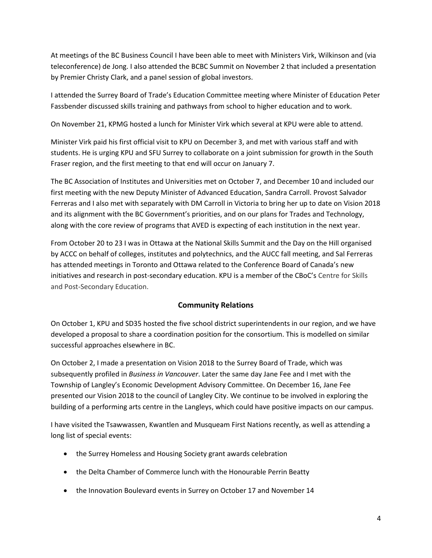At meetings of the BC Business Council I have been able to meet with Ministers Virk, Wilkinson and (via teleconference) de Jong. I also attended the BCBC Summit on November 2 that included a presentation by Premier Christy Clark, and a panel session of global investors.

I attended the Surrey Board of Trade's Education Committee meeting where Minister of Education Peter Fassbender discussed skills training and pathways from school to higher education and to work.

On November 21, KPMG hosted a lunch for Minister Virk which several at KPU were able to attend.

Minister Virk paid his first official visit to KPU on December 3, and met with various staff and with students. He is urging KPU and SFU Surrey to collaborate on a joint submission for growth in the South Fraser region, and the first meeting to that end will occur on January 7.

The BC Association of Institutes and Universities met on October 7, and December 10 and included our first meeting with the new Deputy Minister of Advanced Education, Sandra Carroll. Provost Salvador Ferreras and I also met with separately with DM Carroll in Victoria to bring her up to date on Vision 2018 and its alignment with the BC Government's priorities, and on our plans for Trades and Technology, along with the core review of programs that AVED is expecting of each institution in the next year.

From October 20 to 23 I was in Ottawa at the National Skills Summit and the Day on the Hill organised by ACCC on behalf of colleges, institutes and polytechnics, and the AUCC fall meeting, and Sal Ferreras has attended meetings in Toronto and Ottawa related to the Conference Board of Canada's new initiatives and research in post-secondary education. KPU is a member of the CBoC's Centre for Skills and Post-Secondary Education.

## **Community Relations**

On October 1, KPU and SD35 hosted the five school district superintendents in our region, and we have developed a proposal to share a coordination position for the consortium. This is modelled on similar successful approaches elsewhere in BC.

On October 2, I made a presentation on Vision 2018 to the Surrey Board of Trade, which was subsequently profiled in *Business in Vancouver*. Later the same day Jane Fee and I met with the Township of Langley's Economic Development Advisory Committee. On December 16, Jane Fee presented our Vision 2018 to the council of Langley City. We continue to be involved in exploring the building of a performing arts centre in the Langleys, which could have positive impacts on our campus.

I have visited the Tsawwassen, Kwantlen and Musqueam First Nations recently, as well as attending a long list of special events:

- the Surrey Homeless and Housing Society grant awards celebration
- the Delta Chamber of Commerce lunch with the Honourable Perrin Beatty
- the Innovation Boulevard events in Surrey on October 17 and November 14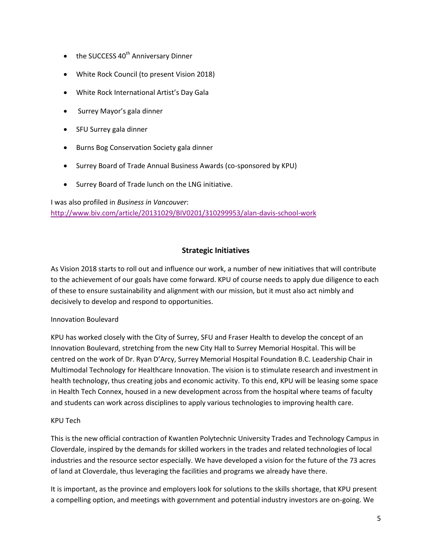- $\bullet$  the SUCCESS 40<sup>th</sup> Anniversary Dinner
- White Rock Council (to present Vision 2018)
- White Rock International Artist's Day Gala
- Surrey Mayor's gala dinner
- SFU Surrey gala dinner
- Burns Bog Conservation Society gala dinner
- Surrey Board of Trade Annual Business Awards (co-sponsored by KPU)
- Surrey Board of Trade lunch on the LNG initiative.

I was also profiled in *Business in Vancouver*: <http://www.biv.com/article/20131029/BIV0201/310299953/alan-davis-school-work>

## **Strategic Initiatives**

As Vision 2018 starts to roll out and influence our work, a number of new initiatives that will contribute to the achievement of our goals have come forward. KPU of course needs to apply due diligence to each of these to ensure sustainability and alignment with our mission, but it must also act nimbly and decisively to develop and respond to opportunities.

#### Innovation Boulevard

KPU has worked closely with the City of Surrey, SFU and Fraser Health to develop the concept of an Innovation Boulevard, stretching from the new City Hall to Surrey Memorial Hospital. This will be centred on the work of Dr. Ryan D'Arcy, Surrey Memorial Hospital Foundation B.C. Leadership Chair in Multimodal Technology for Healthcare Innovation. The vision is to stimulate research and investment in health technology, thus creating jobs and economic activity. To this end, KPU will be leasing some space in Health Tech Connex, housed in a new development across from the hospital where teams of faculty and students can work across disciplines to apply various technologies to improving health care.

#### KPU Tech

This is the new official contraction of Kwantlen Polytechnic University Trades and Technology Campus in Cloverdale, inspired by the demands for skilled workers in the trades and related technologies of local industries and the resource sector especially. We have developed a vision for the future of the 73 acres of land at Cloverdale, thus leveraging the facilities and programs we already have there.

It is important, as the province and employers look for solutions to the skills shortage, that KPU present a compelling option, and meetings with government and potential industry investors are on-going. We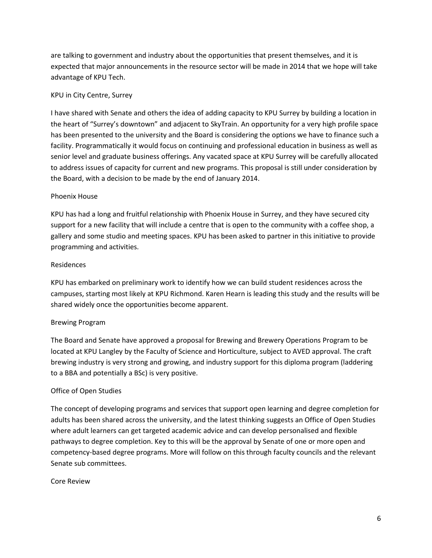are talking to government and industry about the opportunities that present themselves, and it is expected that major announcements in the resource sector will be made in 2014 that we hope will take advantage of KPU Tech.

#### KPU in City Centre, Surrey

I have shared with Senate and others the idea of adding capacity to KPU Surrey by building a location in the heart of "Surrey's downtown" and adjacent to SkyTrain. An opportunity for a very high profile space has been presented to the university and the Board is considering the options we have to finance such a facility. Programmatically it would focus on continuing and professional education in business as well as senior level and graduate business offerings. Any vacated space at KPU Surrey will be carefully allocated to address issues of capacity for current and new programs. This proposal is still under consideration by the Board, with a decision to be made by the end of January 2014.

#### Phoenix House

KPU has had a long and fruitful relationship with Phoenix House in Surrey, and they have secured city support for a new facility that will include a centre that is open to the community with a coffee shop, a gallery and some studio and meeting spaces. KPU has been asked to partner in this initiative to provide programming and activities.

#### Residences

KPU has embarked on preliminary work to identify how we can build student residences across the campuses, starting most likely at KPU Richmond. Karen Hearn is leading this study and the results will be shared widely once the opportunities become apparent.

## Brewing Program

The Board and Senate have approved a proposal for Brewing and Brewery Operations Program to be located at KPU Langley by the Faculty of Science and Horticulture, subject to AVED approval. The craft brewing industry is very strong and growing, and industry support for this diploma program (laddering to a BBA and potentially a BSc) is very positive.

#### Office of Open Studies

The concept of developing programs and services that support open learning and degree completion for adults has been shared across the university, and the latest thinking suggests an Office of Open Studies where adult learners can get targeted academic advice and can develop personalised and flexible pathways to degree completion. Key to this will be the approval by Senate of one or more open and competency-based degree programs. More will follow on this through faculty councils and the relevant Senate sub committees.

#### Core Review